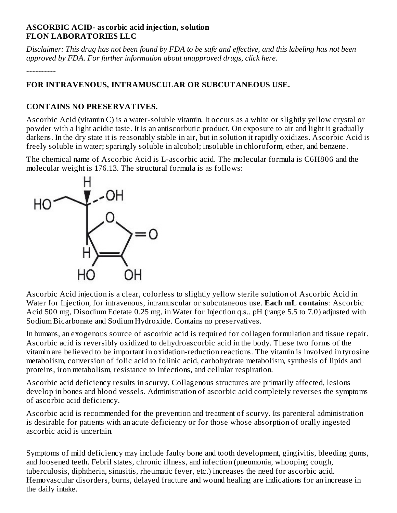### **ASCORBIC ACID- as corbic acid injection, solution FLON LABORATORIES LLC**

Disclaimer: This drug has not been found by FDA to be safe and effective, and this labeling has not been *approved by FDA. For further information about unapproved drugs, click here.*

----------

# **FOR INTRAVENOUS, INTRAMUSCULAR OR SUBCUTANEOUS USE.**

### **CONTAINS NO PRESERVATIVES.**

Ascorbic Acid (vitamin C) is a water-soluble vitamin. It occurs as a white or slightly yellow crystal or powder with a light acidic taste. It is an antiscorbutic product. On exposure to air and light it gradually darkens. In the dry state it is reasonably stable in air, but in solution it rapidly oxidizes. Ascorbic Acid is freely soluble in water; sparingly soluble in alcohol; insoluble in chloroform, ether, and benzene.

The chemical name of Ascorbic Acid is L-ascorbic acid. The molecular formula is C6H806 and the molecular weight is 176.13. The structural formula is as follows:



Ascorbic Acid injection is a clear, colorless to slightly yellow sterile solution of Ascorbic Acid in Water for Injection, for intravenous, intramuscular or subcutaneous use. **Each mL contains**: Ascorbic Acid 500 mg, Disodium Edetate 0.25 mg, in Water for Injection q.s.. pH (range 5.5 to 7.0) adjusted with Sodium Bicarbonate and Sodium Hydroxide. Contains no preservatives.

In humans, an exogenous source of ascorbic acid is required for collagen formulation and tissue repair. Ascorbic acid is reversibly oxidized to dehydroascorbic acid in the body. These two forms of the vitamin are believed to be important in oxidation-reduction reactions. The vitamin is involved in tyrosine metabolism, conversion of folic acid to folinic acid, carbohydrate metabolism, synthesis of lipids and proteins, iron metabolism, resistance to infections, and cellular respiration.

Ascorbic acid deficiency results in scurvy. Collagenous structures are primarily affected, lesions develop in bones and blood vessels. Administration of ascorbic acid completely reverses the symptoms of ascorbic acid deficiency.

Ascorbic acid is recommended for the prevention and treatment of scurvy. Its parenteral administration is desirable for patients with an acute deficiency or for those whose absorption of orally ingested ascorbic acid is uncertain.

Symptoms of mild deficiency may include faulty bone and tooth development, gingivitis, bleeding gums, and loosened teeth. Febril states, chronic illness, and infection (pneumonia, whooping cough, tuberculosis, diphtheria, sinusitis, rheumatic fever, etc.) increases the need for ascorbic acid. Hemovascular disorders, burns, delayed fracture and wound healing are indications for an increase in the daily intake.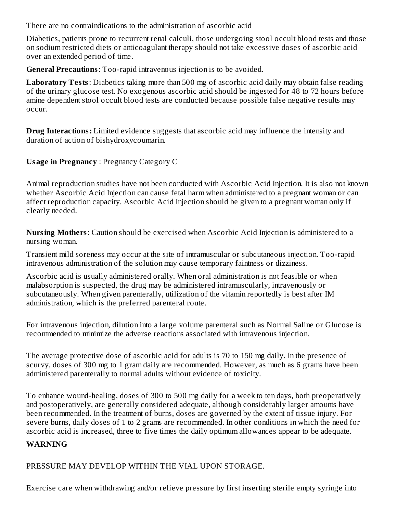There are no contraindications to the administration of ascorbic acid

Diabetics, patients prone to recurrent renal calculi, those undergoing stool occult blood tests and those on sodium restricted diets or anticoagulant therapy should not take excessive doses of ascorbic acid over an extended period of time.

**General Precautions**: Too-rapid intravenous injection is to be avoided.

**Laboratory Tests**: Diabetics taking more than 500 mg of ascorbic acid daily may obtain false reading of the urinary glucose test. No exogenous ascorbic acid should be ingested for 48 to 72 hours before amine dependent stool occult blood tests are conducted because possible false negative results may occur.

**Drug Interactions:** Limited evidence suggests that ascorbic acid may influence the intensity and duration of action of bishydroxycoumarin.

**Usage in Pregnancy** : Pregnancy Category C

Animal reproduction studies have not been conducted with Ascorbic Acid Injection. It is also not known whether Ascorbic Acid Injection can cause fetal harm when administered to a pregnant woman or can affect reproduction capacity. Ascorbic Acid Injection should be given to a pregnant woman only if clearly needed.

**Nursing Mothers**: Caution should be exercised when Ascorbic Acid Injection is administered to a nursing woman.

Transient mild soreness may occur at the site of intramuscular or subcutaneous injection. Too-rapid intravenous administration of the solution may cause temporary faintness or dizziness.

Ascorbic acid is usually administered orally. When oral administration is not feasible or when malabsorption is suspected, the drug may be administered intramuscularly, intravenously or subcutaneously. When given parenterally, utilization of the vitamin reportedly is best after IM administration, which is the preferred parenteral route.

For intravenous injection, dilution into a large volume parenteral such as Normal Saline or Glucose is recommended to minimize the adverse reactions associated with intravenous injection.

The average protective dose of ascorbic acid for adults is 70 to 150 mg daily. In the presence of scurvy, doses of 300 mg to 1 gram daily are recommended. However, as much as 6 grams have been administered parenterally to normal adults without evidence of toxicity.

To enhance wound-healing, doses of 300 to 500 mg daily for a week to ten days, both preoperatively and postoperatively, are generally considered adequate, although considerably larger amounts have been recommended. In the treatment of burns, doses are governed by the extent of tissue injury. For severe burns, daily doses of 1 to 2 grams are recommended. In other conditions in which the need for ascorbic acid is increased, three to five times the daily optimum allowances appear to be adequate.

#### **WARNING**

PRESSURE MAY DEVELOP WITHIN THE VIAL UPON STORAGE.

Exercise care when withdrawing and/or relieve pressure by first inserting sterile empty syringe into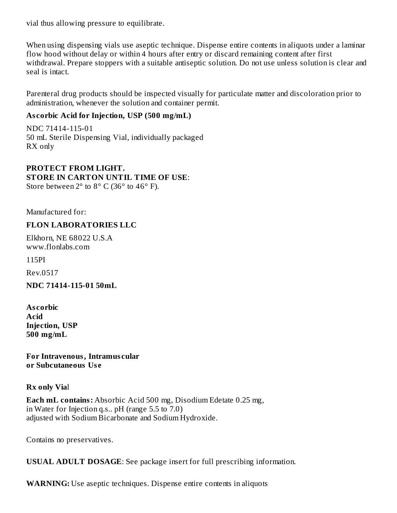vial thus allowing pressure to equilibrate.

When using dispensing vials use aseptic technique. Dispense entire contents in aliquots under a laminar flow hood without delay or within 4 hours after entry or discard remaining content after first withdrawal. Prepare stoppers with a suitable antiseptic solution. Do not use unless solution is clear and seal is intact.

Parenteral drug products should be inspected visually for particulate matter and discoloration prior to administration, whenever the solution and container permit.

## **As corbic Acid for Injection, USP (500 mg/mL)**

NDC 71414-115-01 50 mL Sterile Dispensing Vial, individually packaged RX only

**PROTECT FROM LIGHT. STORE IN CARTON UNTIL TIME OF USE**: Store between  $2^{\circ}$  to  $8^{\circ}$  C (36 $^{\circ}$  to 46 $^{\circ}$  F).

Manufactured for:

#### **FLON LABORATORIES LLC**

Elkhorn, NE 68022 U.S.A www.flonlabs.com

115PI

Rev.0517

**NDC 71414-115-01 50mL**

**As corbic Acid Injection, USP 500 mg/mL**

**For Intravenous, Intramus cular or Subcutaneous Us e**

**Rx only Via**l

**Each mL contains:** Absorbic Acid 500 mg, Disodium Edetate 0.25 mg, in Water for Injection q.s.. pH (range 5.5 to 7.0) adjusted with Sodium Bicarbonate and Sodium Hydroxide.

Contains no preservatives.

**USUAL ADULT DOSAGE**: See package insert for full prescribing information.

**WARNING:** Use aseptic techniques. Dispense entire contents in aliquots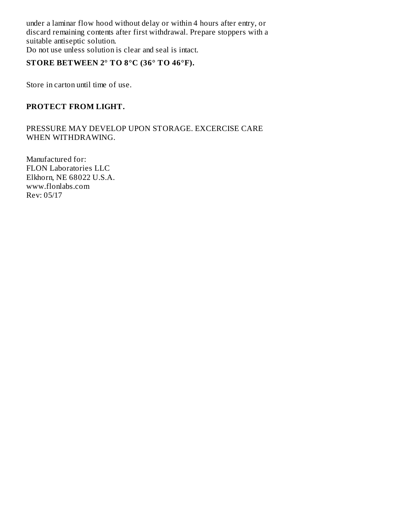under a laminar flow hood without delay or within 4 hours after entry, or discard remaining contents after first withdrawal. Prepare stoppers with a suitable antiseptic solution. Do not use unless solution is clear and seal is intact.

# **STORE BETWEEN 2° TO 8°C (36° TO 46°F).**

Store in carton until time of use.

#### **PROTECT FROM LIGHT.**

PRESSURE MAY DEVELOP UPON STORAGE. EXCERCISE CARE WHEN WITHDRAWING.

Manufactured for: FLON Laboratories LLC Elkhorn, NE 68022 U.S.A. www.flonlabs.com Rev: 05/17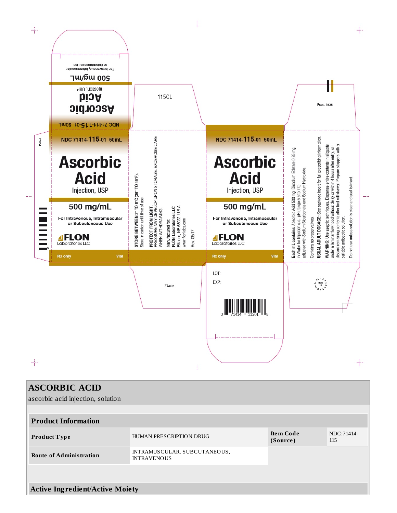

| <b>ASCORBIC ACID</b>                   |                                                    |                              |                   |  |  |  |  |
|----------------------------------------|----------------------------------------------------|------------------------------|-------------------|--|--|--|--|
| ascorbic acid injection, solution      |                                                    |                              |                   |  |  |  |  |
|                                        |                                                    |                              |                   |  |  |  |  |
| <b>Product Information</b>             |                                                    |                              |                   |  |  |  |  |
| <b>Product Type</b>                    | HUMAN PRESCRIPTION DRUG                            | <b>Item Code</b><br>(Source) | NDC:71414-<br>115 |  |  |  |  |
| <b>Route of Administration</b>         | INTRAMUSCULAR, SUBCUTANEOUS,<br><b>INTRAVENOUS</b> |                              |                   |  |  |  |  |
|                                        |                                                    |                              |                   |  |  |  |  |
| <b>Active Ingredient/Active Moiety</b> |                                                    |                              |                   |  |  |  |  |